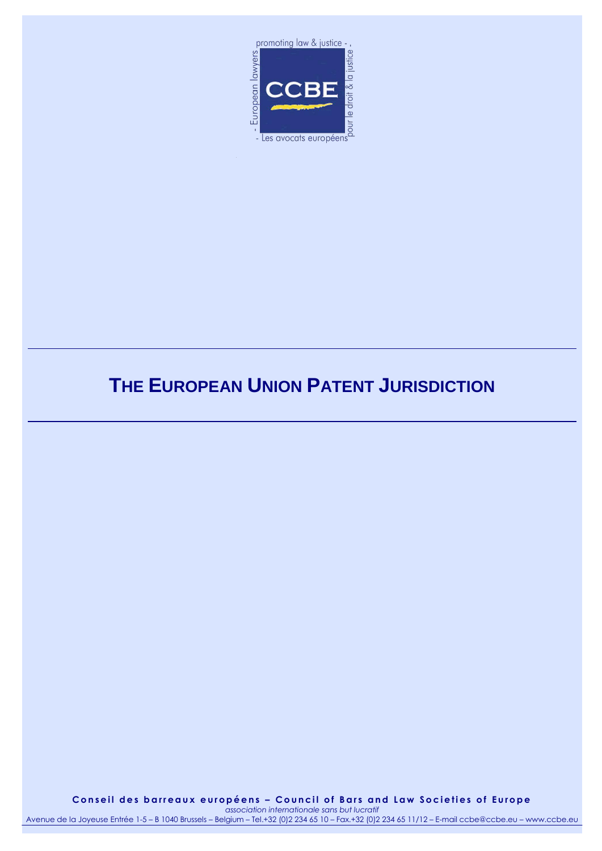

# **THE EUROPEAN UNION PATENT JURISDICTION**

**C o n s e i l d e s b a r r e a u x e u r o p é e n s – C o u n c i l o f B a r s a n d L a w S o c i e t i e s o f E u r o p e**

*association internationale sans but lucratif* Avenue de la Joyeuse Entrée 1-5 – B 1040 Brussels – Belgium – Tel.+32 (0)2 234 65 10 – Fax.+32 (0)2 234 65 11/12 – E-mail ccbe@ccbe.eu – www.ccbe.eu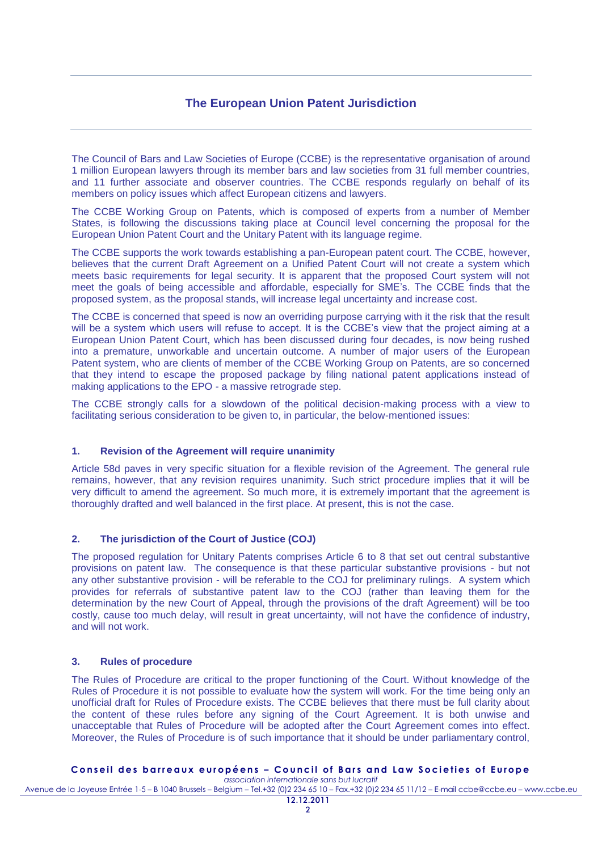## **The European Union Patent Jurisdiction**

The Council of Bars and Law Societies of Europe (CCBE) is the representative organisation of around 1 million European lawyers through its member bars and law societies from 31 full member countries, and 11 further associate and observer countries. The CCBE responds regularly on behalf of its members on policy issues which affect European citizens and lawyers.

The CCBE Working Group on Patents, which is composed of experts from a number of Member States, is following the discussions taking place at Council level concerning the proposal for the European Union Patent Court and the Unitary Patent with its language regime.

The CCBE supports the work towards establishing a pan-European patent court. The CCBE, however, believes that the current Draft Agreement on a Unified Patent Court will not create a system which meets basic requirements for legal security. It is apparent that the proposed Court system will not meet the goals of being accessible and affordable, especially for SME's. The CCBE finds that the proposed system, as the proposal stands, will increase legal uncertainty and increase cost.

The CCBE is concerned that speed is now an overriding purpose carrying with it the risk that the result will be a system which users will refuse to accept. It is the CCBE's view that the project aiming at a European Union Patent Court, which has been discussed during four decades, is now being rushed into a premature, unworkable and uncertain outcome. A number of major users of the European Patent system, who are clients of member of the CCBE Working Group on Patents, are so concerned that they intend to escape the proposed package by filing national patent applications instead of making applications to the EPO - a massive retrograde step.

The CCBE strongly calls for a slowdown of the political decision-making process with a view to facilitating serious consideration to be given to, in particular, the below-mentioned issues:

### **1. Revision of the Agreement will require unanimity**

Article 58d paves in very specific situation for a flexible revision of the Agreement. The general rule remains, however, that any revision requires unanimity. Such strict procedure implies that it will be very difficult to amend the agreement. So much more, it is extremely important that the agreement is thoroughly drafted and well balanced in the first place. At present, this is not the case.

### **2. The jurisdiction of the Court of Justice (COJ)**

The proposed regulation for Unitary Patents comprises Article 6 to 8 that set out central substantive provisions on patent law. The consequence is that these particular substantive provisions - but not any other substantive provision - will be referable to the COJ for preliminary rulings. A system which provides for referrals of substantive patent law to the COJ (rather than leaving them for the determination by the new Court of Appeal, through the provisions of the draft Agreement) will be too costly, cause too much delay, will result in great uncertainty, will not have the confidence of industry, and will not work.

#### **3. Rules of procedure**

The Rules of Procedure are critical to the proper functioning of the Court. Without knowledge of the Rules of Procedure it is not possible to evaluate how the system will work. For the time being only an unofficial draft for Rules of Procedure exists. The CCBE believes that there must be full clarity about the content of these rules before any signing of the Court Agreement. It is both unwise and unacceptable that Rules of Procedure will be adopted after the Court Agreement comes into effect. Moreover, the Rules of Procedure is of such importance that it should be under parliamentary control,

#### Conseil des barreaux européens - Council of Bars and Law Societies of Europe

*association internationale sans but lucratif* Avenue de la Joyeuse Entrée 1-5 – B 1040 Brussels – Belgium – Tel.+32 (0)2 234 65 10 – Fax.+32 (0)2 234 65 11/12 – E-mail ccbe@ccbe.eu – www.ccbe.eu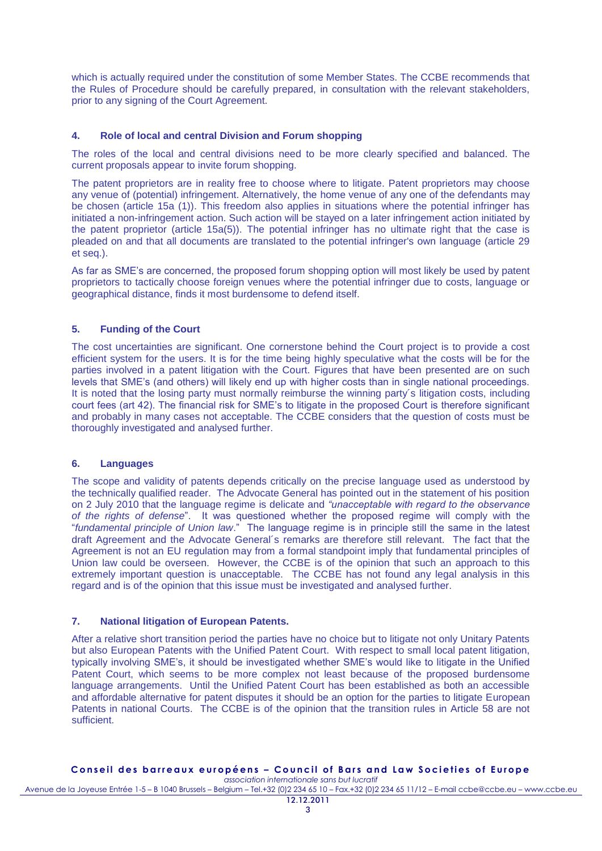which is actually required under the constitution of some Member States. The CCBE recommends that the Rules of Procedure should be carefully prepared, in consultation with the relevant stakeholders, prior to any signing of the Court Agreement.

### **4. Role of local and central Division and Forum shopping**

The roles of the local and central divisions need to be more clearly specified and balanced. The current proposals appear to invite forum shopping.

The patent proprietors are in reality free to choose where to litigate. Patent proprietors may choose any venue of (potential) infringement. Alternatively, the home venue of any one of the defendants may be chosen (article 15a (1)). This freedom also applies in situations where the potential infringer has initiated a non-infringement action. Such action will be stayed on a later infringement action initiated by the patent proprietor (article 15a(5)). The potential infringer has no ultimate right that the case is pleaded on and that all documents are translated to the potential infringer's own language (article 29 et seq.).

As far as SME's are concerned, the proposed forum shopping option will most likely be used by patent proprietors to tactically choose foreign venues where the potential infringer due to costs, language or geographical distance, finds it most burdensome to defend itself.

### **5. Funding of the Court**

The cost uncertainties are significant. One cornerstone behind the Court project is to provide a cost efficient system for the users. It is for the time being highly speculative what the costs will be for the parties involved in a patent litigation with the Court. Figures that have been presented are on such levels that SME's (and others) will likely end up with higher costs than in single national proceedings. It is noted that the losing party must normally reimburse the winning party's litigation costs, including court fees (art 42). The financial risk for SME's to litigate in the proposed Court is therefore significant and probably in many cases not acceptable. The CCBE considers that the question of costs must be thoroughly investigated and analysed further.

### **6. Languages**

The scope and validity of patents depends critically on the precise language used as understood by the technically qualified reader. The Advocate General has pointed out in the statement of his position on 2 July 2010 that the language regime is delicate and *"unacceptable with regard to the observance of the rights of defense*". It was questioned whether the proposed regime will comply with the "*fundamental principle of Union law*." The language regime is in principle still the same in the latest draft Agreement and the Advocate General´s remarks are therefore still relevant. The fact that the Agreement is not an EU regulation may from a formal standpoint imply that fundamental principles of Union law could be overseen. However, the CCBE is of the opinion that such an approach to this extremely important question is unacceptable. The CCBE has not found any legal analysis in this regard and is of the opinion that this issue must be investigated and analysed further.

### **7. National litigation of European Patents.**

After a relative short transition period the parties have no choice but to litigate not only Unitary Patents but also European Patents with the Unified Patent Court. With respect to small local patent litigation, typically involving SME's, it should be investigated whether SME's would like to litigate in the Unified Patent Court, which seems to be more complex not least because of the proposed burdensome language arrangements. Until the Unified Patent Court has been established as both an accessible and affordable alternative for patent disputes it should be an option for the parties to litigate European Patents in national Courts. The CCBE is of the opinion that the transition rules in Article 58 are not sufficient.

#### Conseil des barreaux européens - Council of Bars and Law Societies of Europe *association internationale sans but lucratif*

Avenue de la Joyeuse Entrée 1-5 – B 1040 Brussels – Belgium – Tel.+32 (0)2 234 65 10 – Fax.+32 (0)2 234 65 11/12 – E-mail ccbe@ccbe.eu – www.ccbe.eu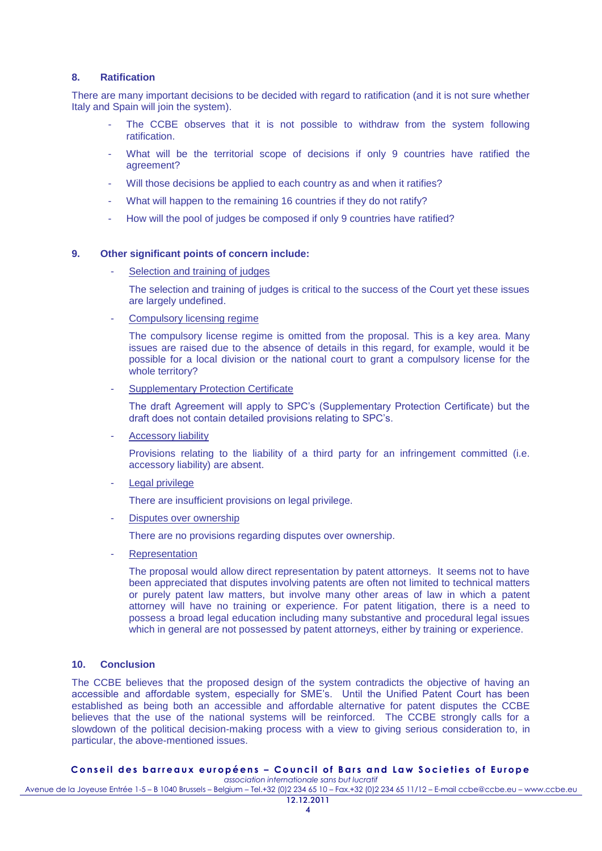#### **8. Ratification**

There are many important decisions to be decided with regard to ratification (and it is not sure whether Italy and Spain will join the system).

- The CCBE observes that it is not possible to withdraw from the system following ratification.
- What will be the territorial scope of decisions if only 9 countries have ratified the agreement?
- Will those decisions be applied to each country as and when it ratifies?
- What will happen to the remaining 16 countries if they do not ratify?
- How will the pool of judges be composed if only 9 countries have ratified?

#### **9. Other significant points of concern include:**

Selection and training of judges

The selection and training of judges is critical to the success of the Court yet these issues are largely undefined.

Compulsory licensing regime

The compulsory license regime is omitted from the proposal. This is a key area. Many issues are raised due to the absence of details in this regard, for example, would it be possible for a local division or the national court to grant a compulsory license for the whole territory?

**Supplementary Protection Certificate** 

The draft Agreement will apply to SPC's (Supplementary Protection Certificate) but the draft does not contain detailed provisions relating to SPC's.

Accessory liability

Provisions relating to the liability of a third party for an infringement committed (i.e. accessory liability) are absent.

Legal privilege

There are insufficient provisions on legal privilege.

Disputes over ownership

There are no provisions regarding disputes over ownership.

**Representation** 

The proposal would allow direct representation by patent attorneys. It seems not to have been appreciated that disputes involving patents are often not limited to technical matters or purely patent law matters, but involve many other areas of law in which a patent attorney will have no training or experience. For patent litigation, there is a need to possess a broad legal education including many substantive and procedural legal issues which in general are not possessed by patent attorneys, either by training or experience.

### **10. Conclusion**

The CCBE believes that the proposed design of the system contradicts the objective of having an accessible and affordable system, especially for SME's. Until the Unified Patent Court has been established as being both an accessible and affordable alternative for patent disputes the CCBE believes that the use of the national systems will be reinforced. The CCBE strongly calls for a slowdown of the political decision-making process with a view to giving serious consideration to, in particular, the above-mentioned issues.

### Conseil des barreaux européens - Council of Bars and Law Societies of Europe

*association internationale sans but lucratif* Avenue de la Joyeuse Entrée 1-5 – B 1040 Brussels – Belgium – Tel.+32 (0)2 234 65 10 – Fax.+32 (0)2 234 65 11/12 – E-mail ccbe@ccbe.eu – www.ccbe.eu